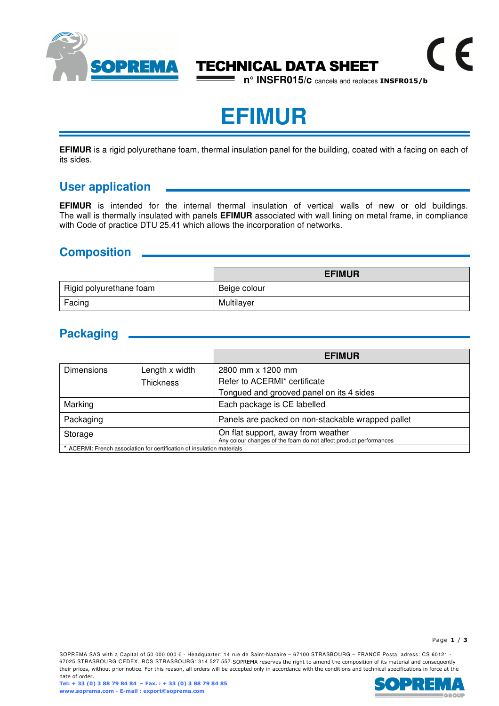

## TECHNICAL DATA SHEET

**n° INSFR015/c** cancels and replaces **INSFR015/b**

 $\epsilon$ 

# **EFIMUR**

**EFIMUR** is a rigid polyurethane foam, thermal insulation panel for the building, coated with a facing on each of its sides.

## **User application**

**EFIMUR** is intended for the internal thermal insulation of vertical walls of new or old buildings. The wall is thermally insulated with panels **EFIMUR** associated with wall lining on metal frame, in compliance with Code of practice DTU 25.41 which allows the incorporation of networks.

## **Composition**

|                         | <b>EFIMUR</b> |
|-------------------------|---------------|
| Rigid polyurethane foam | Beige colour  |
| Facing                  | Multilayer    |

## **Packaging**

|                   |                                                                        | <b>EFIMUR</b>                                                                                           |
|-------------------|------------------------------------------------------------------------|---------------------------------------------------------------------------------------------------------|
| <b>Dimensions</b> | Length x width                                                         | 2800 mm x 1200 mm                                                                                       |
|                   | <b>Thickness</b>                                                       | Refer to ACERMI* certificate                                                                            |
|                   |                                                                        | Tongued and grooved panel on its 4 sides                                                                |
| Marking           |                                                                        | Each package is CE labelled                                                                             |
| Packaging         |                                                                        | Panels are packed on non-stackable wrapped pallet                                                       |
| Storage           |                                                                        | On flat support, away from weather<br>Any colour changes of the foam do not affect product performances |
|                   | * ACERMI: French association for certification of insulation materials |                                                                                                         |

Page **1** / **3**

SOPREMA SAS with a Capital of 50 000 000 € - Headquarter: 14 rue de Saint-Nazaire – 67100 STRASBOURG – FRANCE Postal adress: CS 60121 -67025 STRASBOURG CEDEX. RCS STRASBOURG: 314 527 557.SOPREMA reserves the right to amend the composition of its material and consequently their prices, without prior notice. For this reason, all orders will be accepted only in accordance with the conditions and technical specifications in force at the date of order.

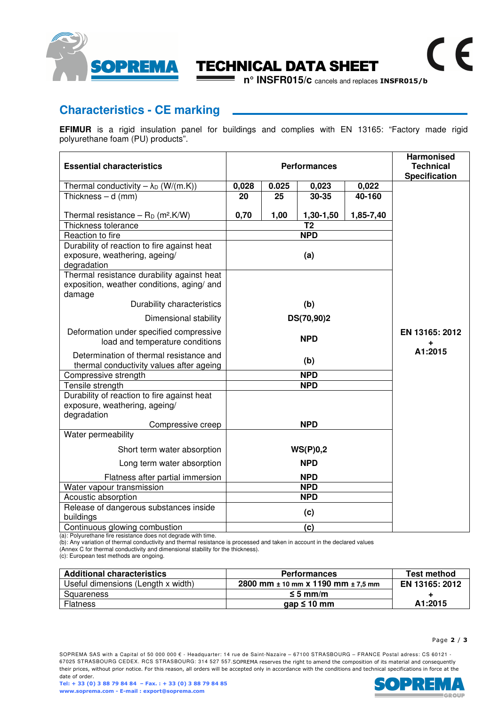

## TECHNICAL DATA SHEET

**n° INSFR015/c** cancels and replaces **INSFR015/b**

## **Characteristics - CE marking**

**EFIMUR** is a rigid insulation panel for buildings and complies with EN 13165: "Factory made rigid polyurethane foam (PU) products".

| <b>Essential characteristics</b>                                                                   |       |       | <b>Performances</b> |           | <b>Harmonised</b><br><b>Technical</b><br><b>Specification</b> |
|----------------------------------------------------------------------------------------------------|-------|-------|---------------------|-----------|---------------------------------------------------------------|
| Thermal conductivity $-\lambda_D$ (W/(m.K))                                                        | 0,028 | 0.025 | 0,023               | 0,022     |                                                               |
| Thickness $- d$ (mm)                                                                               | 20    | 25    | $30 - 35$           | 40-160    |                                                               |
|                                                                                                    |       |       |                     |           |                                                               |
| Thermal resistance $-$ R <sub>D</sub> (m <sup>2</sup> .K/W)                                        | 0,70  | 1,00  | 1,30-1,50           | 1,85-7,40 |                                                               |
| Thickness tolerance                                                                                |       |       | T <sub>2</sub>      |           |                                                               |
| Reaction to fire                                                                                   |       |       | <b>NPD</b>          |           |                                                               |
| Durability of reaction to fire against heat                                                        |       |       |                     |           |                                                               |
| exposure, weathering, ageing/<br>degradation                                                       |       |       | (a)                 |           |                                                               |
| Thermal resistance durability against heat<br>exposition, weather conditions, aging/ and<br>damage |       |       |                     |           |                                                               |
| Durability characteristics                                                                         |       |       | (b)                 |           |                                                               |
| Dimensional stability                                                                              |       |       | DS(70,90)2          |           |                                                               |
| Deformation under specified compressive<br>load and temperature conditions                         |       |       | <b>NPD</b>          |           | EN 13165: 2012                                                |
| Determination of thermal resistance and<br>thermal conductivity values after ageing                |       |       | (b)                 |           | A1:2015                                                       |
| Compressive strength                                                                               |       |       | <b>NPD</b>          |           |                                                               |
| Tensile strength                                                                                   |       |       | <b>NPD</b>          |           |                                                               |
| Durability of reaction to fire against heat<br>exposure, weathering, ageing/<br>degradation        |       |       |                     |           |                                                               |
| Compressive creep                                                                                  |       |       | <b>NPD</b>          |           |                                                               |
| Water permeability                                                                                 |       |       |                     |           |                                                               |
| Short term water absorption                                                                        |       |       | WS(P)0,2            |           |                                                               |
| Long term water absorption                                                                         |       |       | <b>NPD</b>          |           |                                                               |
| Flatness after partial immersion                                                                   |       |       | <b>NPD</b>          |           |                                                               |
| Water vapour transmission                                                                          |       |       | <b>NPD</b>          |           |                                                               |
| Acoustic absorption                                                                                |       |       | <b>NPD</b>          |           |                                                               |
| Release of dangerous substances inside<br>buildings                                                |       |       | (c)                 |           |                                                               |
| Continuous glowing combustion                                                                      |       |       | (c)                 |           |                                                               |

(a): Polyurethane fire resistance does not degrade with time.

(b): Any variation of thermal conductivity and thermal resistance is processed and taken in account in the declared values (Annex C for thermal conductivity and dimensional stability for the thickness).

(c): European test methods are ongoing.

| <b>Additional characteristics</b>  | <b>Performances</b>                        | <b>Test method</b> |
|------------------------------------|--------------------------------------------|--------------------|
| Useful dimensions (Length x width) | 2800 mm $\pm$ 10 mm x 1190 mm $\pm$ 7.5 mm | EN 13165: 2012     |
| Squareness                         | $\leq 5$ mm/m                              |                    |
| <b>Flatness</b>                    | gap $\leq 10$ mm                           | A1:2015            |

 $\epsilon$ 

SOPREMA SAS with a Capital of 50 000 000 € - Headquarter: 14 rue de Saint-Nazaire – 67100 STRASBOURG – FRANCE Postal adress: CS 60121 -67025 STRASBOURG CEDEX. RCS STRASBOURG: 314 527 557.SOPREMA reserves the right to amend the composition of its material and consequently their prices, without prior notice. For this reason, all orders will be accepted only in accordance with the conditions and technical specifications in force at the date of order.